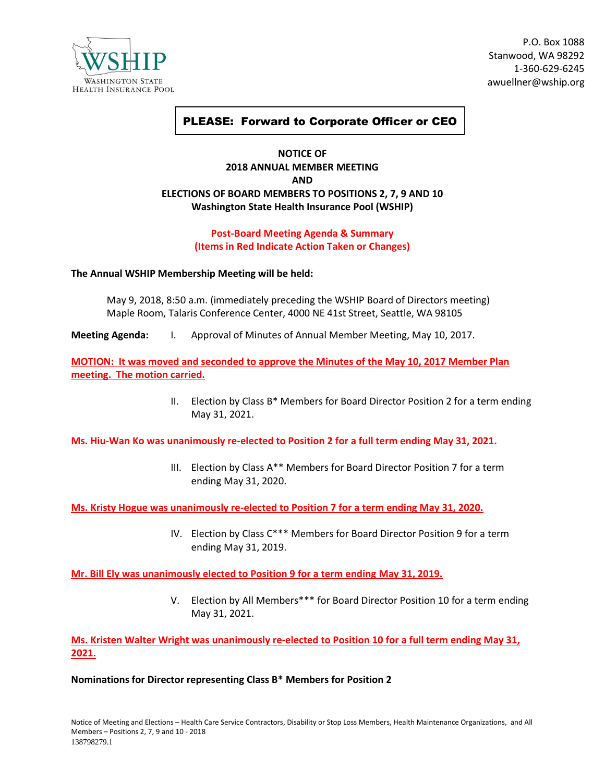

P.O. Box 1088 Stanwood, WA 98292 1-360-629-6245 awuellner@wship.org

# PLEASE: Forward to Corporate Officer or CEO

# **NOTICE OF 2018 ANNUAL MEMBER MEETING AND ELECTIONS OF BOARD MEMBERS TO POSITIONS 2, 7, 9 AND 10 Washington State Health Insurance Pool (WSHIP)**

## **Post-Board Meeting Agenda & Summary (Items in Red Indicate Action Taken or Changes)**

#### **The Annual WSHIP Membership Meeting will be held:**

May 9, 2018, 8:50 a.m. (immediately preceding the WSHIP Board of Directors meeting) Maple Room, Talaris Conference Center, 4000 NE 41st Street, Seattle, WA 98105

**Meeting Agenda:** I. Approval of Minutes of Annual Member Meeting, May 10, 2017.

**MOTION: It was moved and seconded to approve the Minutes of the May 10, 2017 Member Plan meeting. The motion carried.**

> II. Election by Class B\* Members for Board Director Position 2 for a term ending May 31, 2021.

**Ms. Hiu-Wan Ko was unanimously re-elected to Position 2 for a full term ending May 31, 2021.**

III. Election by Class A\*\* Members for Board Director Position 7 for a term ending May 31, 2020.

**Ms. Kristy Hogue was unanimously re-elected to Position 7 for a term ending May 31, 2020.**

IV. Election by Class C\*\*\* Members for Board Director Position 9 for a term ending May 31, 2019.

**Mr. Bill Ely was unanimously elected to Position 9 for a term ending May 31, 2019.**

V. Election by All Members\*\*\* for Board Director Position 10 for a term ending May 31, 2021.

**Ms. Kristen Walter Wright was unanimously re-elected to Position 10 for a full term ending May 31, 2021.**

#### **Nominations for Director representing Class B\* Members for Position 2**